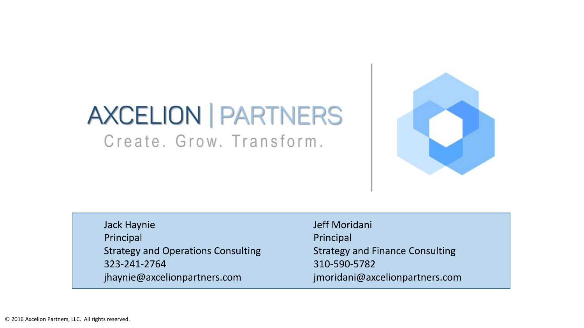# **AXCELION | PARTNERS** Create, Grow, Transform,



Jack Haynie Principal Strategy and Operations Consulting 323-241-2764 jhaynie@axcelionpartners.com

Jeff Moridani Principal Strategy and Finance Consulting 310-590-5782 jmoridani@axcelionpartners.com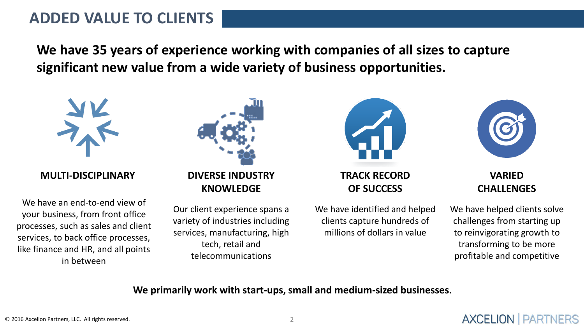## **ADDED VALUE TO CLIENTS**

**We have 35 years of experience working with companies of all sizes to capture significant new value from a wide variety of business opportunities.**



**MULTI-DISCIPLINARY**

We have an end-to-end view of your business, from front office processes, such as sales and client services, to back office processes, like finance and HR, and all points in between



Our client experience spans a variety of industries including services, manufacturing, high tech, retail and telecommunications



**TRACK RECORD OF SUCCESS**

We have identified and helped clients capture hundreds of millions of dollars in value



**VARIED CHALLENGES**

We have helped clients solve challenges from starting up to reinvigorating growth to transforming to be more profitable and competitive

**AXCELION | PARTNERS** 

**We primarily work with start-ups, small and medium-sized businesses.**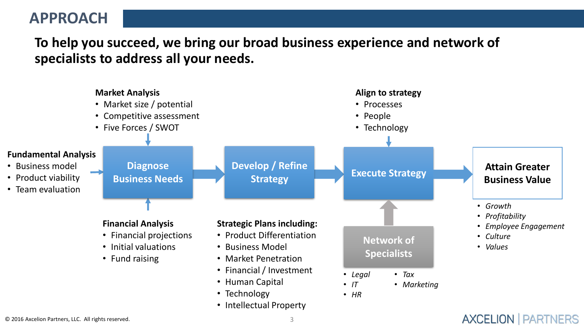## **APPROACH**

**To help you succeed, we bring our broad business experience and network of specialists to address all your needs.**

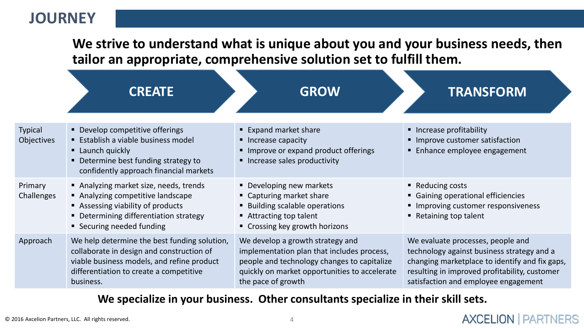## **JOURNEY**

**We strive to understand what is unique about you and your business needs, then tailor an appropriate, comprehensive solution set to fulfill them.**

|                              | <b>CREATE</b>                                                                                                                                                                                   | <b>GROW</b>                                                                                                                                                                                          | <b>TRANSFORM</b>                                                                                                                                                                                                           |
|------------------------------|-------------------------------------------------------------------------------------------------------------------------------------------------------------------------------------------------|------------------------------------------------------------------------------------------------------------------------------------------------------------------------------------------------------|----------------------------------------------------------------------------------------------------------------------------------------------------------------------------------------------------------------------------|
| <b>Typical</b><br>Objectives | • Develop competitive offerings<br><b>Establish a viable business model</b><br>• Launch quickly<br>• Determine best funding strategy to<br>confidently approach financial markets               | ■ Expand market share<br>• Increase capacity<br>Improve or expand product offerings<br>■ Increase sales productivity                                                                                 | • Increase profitability<br>Improve customer satisfaction<br><b>Enhance employee engagement</b>                                                                                                                            |
| Primary<br>Challenges        | Analyzing market size, needs, trends<br>Analyzing competitive landscape<br>Assessing viability of products<br>• Determining differentiation strategy<br>■ Securing needed funding               | • Developing new markets<br>• Capturing market share<br>■ Building scalable operations<br>■ Attracting top talent<br>• Crossing key growth horizons                                                  | ■ Reducing costs<br>• Gaining operational efficiencies<br>Improving customer responsiveness<br>Retaining top talent                                                                                                        |
| Approach                     | We help determine the best funding solution,<br>collaborate in design and construction of<br>viable business models, and refine product<br>differentiation to create a competitive<br>business. | We develop a growth strategy and<br>implementation plan that includes process,<br>people and technology changes to capitalize<br>quickly on market opportunities to accelerate<br>the pace of growth | We evaluate processes, people and<br>technology against business strategy and a<br>changing marketplace to identify and fix gaps,<br>resulting in improved profitability, customer<br>satisfaction and employee engagement |

### **We specialize in your business. Other consultants specialize in their skill sets.**

**AXCELION | PARTNERS**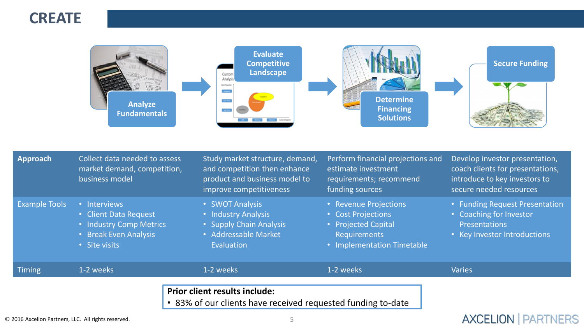



| Approach                                          | Collect data needed to assess<br>market demand, competition,<br>business model                             | Study market structure, demand,<br>and competition then enhance<br>product and business model to<br>improve competitiveness | Perform financial projections and<br>estimate investment<br>requirements; recommend<br>funding sources                  | Develop investor presentation,<br>coach clients for presentations,<br>introduce to key investors to<br>secure needed resources |
|---------------------------------------------------|------------------------------------------------------------------------------------------------------------|-----------------------------------------------------------------------------------------------------------------------------|-------------------------------------------------------------------------------------------------------------------------|--------------------------------------------------------------------------------------------------------------------------------|
| <b>Example Tools</b>                              | • Interviews<br>• Client Data Request<br>• Industry Comp Metrics<br>• Break Even Analysis<br>• Site visits | • SWOT Analysis<br>• Industry Analysis<br>• Supply Chain Analysis<br>• Addressable Market<br>Evaluation                     | • Revenue Projections<br>• Cost Projections<br>• Projected Capital<br><b>Requirements</b><br>• Implementation Timetable | • Funding Request Presentation<br>• Coaching for Investor<br><b>Presentations</b><br>• Key Investor Introductions              |
| <b>Timing</b>                                     | 1-2 weeks                                                                                                  | 1-2 weeks                                                                                                                   | 1-2 weeks                                                                                                               | <b>Varies</b>                                                                                                                  |
|                                                   |                                                                                                            | <b>Prior client results include:</b><br>• 83% of our clients have received requested funding to-date                        |                                                                                                                         |                                                                                                                                |
| 2016 Axcelion Partners, LLC. All rights reserved. |                                                                                                            |                                                                                                                             |                                                                                                                         | <b>PARTNERS</b><br><b>AXCELION</b>                                                                                             |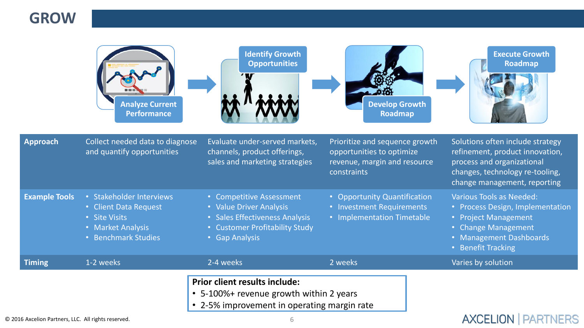## **GROW**

|                                              | <b>Analyze Current</b><br><b>Performance</b>                                                                   | <b>Identify Growth</b><br><b>Opportunities</b>                                                                                            | <b>Develop Growth</b><br><b>Roadmap</b>                                                                    | <b>Execute Growth</b><br><b>Roadmap</b>                                                                                                                              |
|----------------------------------------------|----------------------------------------------------------------------------------------------------------------|-------------------------------------------------------------------------------------------------------------------------------------------|------------------------------------------------------------------------------------------------------------|----------------------------------------------------------------------------------------------------------------------------------------------------------------------|
| <b>Approach</b>                              | Collect needed data to diagnose<br>and quantify opportunities                                                  | Evaluate under-served markets,<br>channels, product offerings,<br>sales and marketing strategies                                          | Prioritize and sequence growth<br>opportunities to optimize<br>revenue, margin and resource<br>constraints | Solutions often include strategy<br>refinement, product innovation,<br>process and organizational<br>changes, technology re-tooling,<br>change management, reporting |
| <b>Example Tools</b>                         | • Stakeholder Interviews<br>• Client Data Request<br>• Site Visits<br>• Market Analysis<br>· Benchmark Studies | • Competitive Assessment<br>• Value Driver Analysis<br>• Sales Effectiveness Analysis<br>• Customer Profitability Study<br>• Gap Analysis | • Opportunity Quantification<br>• Investment Requirements<br>• Implementation Timetable                    | <b>Various Tools as Needed:</b><br>• Process Design, Implementation<br>• Project Management<br>• Change Management<br>• Management Dashboards<br>• Benefit Tracking  |
| <b>Timing</b>                                | 1-2 weeks                                                                                                      | 2-4 weeks                                                                                                                                 | 2 weeks                                                                                                    | Varies by solution                                                                                                                                                   |
| Axcelion Partners, LLC. All rights reserved. |                                                                                                                | <b>Prior client results include:</b><br>• 5-100%+ revenue growth within 2 years<br>• 2-5% improvement in operating margin rate            |                                                                                                            | <b>AXCELION   PARTNERS</b>                                                                                                                                           |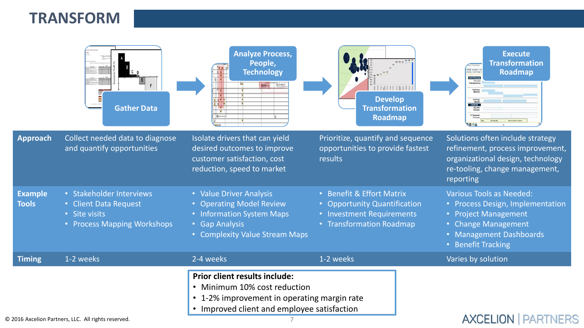## **TRANSFORM**

|                                | <b>Gather Data</b>                                                                                | <b>Analyze Process,</b><br>People,<br><b>Technology</b><br><b>NAME OF STRAIN</b><br>■ 省問 神                                                                                    | <b>Develop</b><br><b>Transformation</b><br><b>Roadmap</b>                                                          | <b>Execute</b><br><b>Transformation</b><br><b>Divital project re</b><br>clarity and help<br><b>Roadmap</b><br>Care Process<br><b>Tachcal</b>                        |
|--------------------------------|---------------------------------------------------------------------------------------------------|-------------------------------------------------------------------------------------------------------------------------------------------------------------------------------|--------------------------------------------------------------------------------------------------------------------|---------------------------------------------------------------------------------------------------------------------------------------------------------------------|
| <b>Approach</b>                | Collect needed data to diagnose<br>and quantify opportunities                                     | Isolate drivers that can yield<br>desired outcomes to improve<br>customer satisfaction, cost<br>reduction, speed to market                                                    | Prioritize, quantify and sequence<br>opportunities to provide fastest<br>results                                   | Solutions often include strategy<br>refinement, process improvement,<br>organizational design, technology<br>re-tooling, change management,<br>reporting            |
| <b>Example</b><br><b>Tools</b> | • Stakeholder Interviews<br>• Client Data Request<br>• Site visits<br>• Process Mapping Workshops | • Value Driver Analysis<br>• Operating Model Review<br>• Information System Maps<br><b>Gap Analysis</b><br>• Complexity Value Stream Maps                                     | • Benefit & Effort Matrix<br>• Opportunity Quantification<br>• Investment Requirements<br>• Transformation Roadmap | <b>Various Tools as Needed:</b><br>• Process Design, Implementation<br>• Project Management<br>• Change Management<br>• Management Dashboards<br>• Benefit Tracking |
| <b>Timing</b>                  | 1-2 weeks                                                                                         | 2-4 weeks                                                                                                                                                                     | 1-2 weeks                                                                                                          | Varies by solution                                                                                                                                                  |
|                                | 16 Axcelion Partners, LLC. All rights reserved.                                                   | <b>Prior client results include:</b><br>• Minimum 10% cost reduction<br>• 1-2% improvement in operating margin rate<br>Improved client and employee satisfaction<br>$\bullet$ |                                                                                                                    | <b>AXCELION   PARTNERS</b>                                                                                                                                          |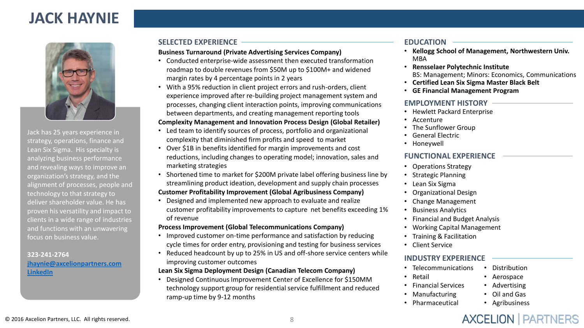## **JACK HAYNIE**



Jack has 25 years experience in strategy, operations, finance and Lean Six Sigma. His specialty is analyzing business performance and revealing ways to improve an organization's strategy, and the alignment of processes, people and technology to that strategy to deliver shareholder value. He has proven his versatility and impact to clients in a wide range of industries and functions with an unwavering focus on business value.

#### **323-241-2764 [jhaynie@axcelionpartners.com](mailto:jhaynie@axcelionpartners.com) [LinkedIn](http://www.linkedin.com/in/jackhaynie)**

### **SELECTED EXPERIENCE EDUCATION**

#### **Business Turnaround (Private Advertising Services Company)**

- Conducted enterprise-wide assessment then executed transformation roadmap to double revenues from \$50M up to \$100M+ and widened margin rates by 4 percentage points in 2 years
- With a 95% reduction in client project errors and rush-orders, client experience improved after re-building project management system and processes, changing client interaction points, improving communications between departments, and creating management reporting tools

#### **Complexity Management and Innovation Process Design (Global Retailer)**

- Led team to identify sources of process, portfolio and organizational complexity that diminished firm profits and speed to market
- Over \$1B in benefits identified for margin improvements and cost reductions, including changes to operating model; innovation, sales and marketing strategies
- Shortened time to market for \$200M private label offering business line by streamlining product ideation, development and supply chain processes **Customer Profitability Improvement (Global Agribusiness Company)**
- Designed and implemented new approach to evaluate and realize customer profitability improvements to capture net benefits exceeding 1% of revenue

#### **Process Improvement (Global Telecommunications Company)**

- Improved customer on-time performance and satisfaction by reducing cycle times for order entry, provisioning and testing for business services
- Reduced headcount by up to 25% in US and off-shore service centers while improving customer outcomes

#### **Lean Six Sigma Deployment Design (Canadian Telecom Company)**

• Designed Continuous Improvement Center of Excellence for \$150MM technology support group for residential service fulfillment and reduced ramp-up time by 9-12 months

- **Kellogg School of Management, Northwestern Univ.** MBA
- **Rensselaer Polytechnic Institute** BS: Management; Minors: Economics, Communications
- **Certified Lean Six Sigma Master Black Belt**
- **GE Financial Management Program**

#### **EMPLOYMENT HISTORY**

- Hewlett Packard Enterprise
- Accenture
- The Sunflower Group
- General Electric
- Honeywell

### **FUNCTIONAL EXPERIENCE**

- Operations Strategy
- Strategic Planning
- Lean Six Sigma
- Organizational Design
- Change Management
- Business Analytics
- Financial and Budget Analysis
- Working Capital Management
- Training & Facilitation
- Client Service

### **INDUSTRY EXPERIENCE**

- Telecommunications
- Retail
- Financial Services
- Manufacturing
- Pharmaceutical
- Distribution
- Aerospace
- Advertising
- Oil and Gas
- Agribusiness

**AXCELION | PARTNERS**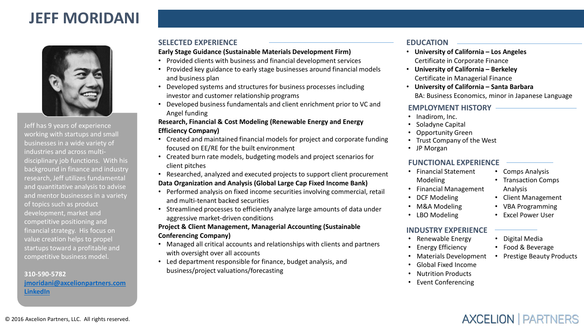## **JEFF MORIDANI**



Jeff has 9 years of experience working with startups and small businesses in a wide variety of industries and across multidisciplinary job functions. With his background in finance and industry research, Jeff utilizes fundamental and quantitative analysis to advise and mentor businesses in a variety of topics such as product development, market and competitive positioning and financial strategy. His focus on value creation helps to propel startups toward a profitable and competitive business model.

**310-590-5782 [jmoridani@axcelionpartners.com](mailto:jmoridani@axcelionpartners.com) [LinkedIn](https://www.linkedin.com/in/jeffreymoridani)**

#### **SELECTED EXPERIENCE EDUCATION**

#### **Early Stage Guidance (Sustainable Materials Development Firm)**

- Provided clients with business and financial development services
- Provided key guidance to early stage businesses around financial models and business plan
- Developed systems and structures for business processes including investor and customer relationship programs
- Developed business fundamentals and client enrichment prior to VC and Angel funding

#### **Research, Financial & Cost Modeling (Renewable Energy and Energy Efficiency Company)**

- Created and maintained financial models for project and corporate funding focused on EE/RE for the built environment
- Created burn rate models, budgeting models and project scenarios for client pitches
- Researched, analyzed and executed projects to support client procurement

#### **Data Organization and Analysis (Global Large Cap Fixed Income Bank)**

- Performed analysis on fixed income securities involving commercial, retail and multi-tenant backed securities
- Streamlined processes to efficiently analyze large amounts of data under aggressive market-driven conditions

#### **Project & Client Management, Managerial Accounting (Sustainable Conferencing Company)**

- Managed all critical accounts and relationships with clients and partners with oversight over all accounts
- Led department responsible for finance, budget analysis, and business/project valuations/forecasting

- **University of California – Los Angeles** Certificate in Corporate Finance
- **University of California – Berkeley** Certificate in Managerial Finance
- **University of California – Santa Barbara** BA: Business Economics, minor in Japanese Language

#### **EMPLOYMENT HISTORY**

- Inadirom, Inc.
- Soladyne Capital
- Opportunity Green
- Trust Company of the West
- JP Morgan

#### **FUNCTIONAL EXPERIENCE**

- Financial Statement Modeling
- Financial Management
- DCF Modeling
- M&A Modeling
- LBO Modeling

#### **INDUSTRY EXPERIENCE**

- Renewable Energy
- Energy Efficiency
- Materials Development
- Global Fixed Income
- Nutrition Products
- Event Conferencing
- Comps Analysis
- Transaction Comps Analysis
- Client Management
- VBA Programming
- Excel Power User

#### • Digital Media

- Food & Beverage
	- Prestige Beauty Products

**AXCELION | PARTNERS**